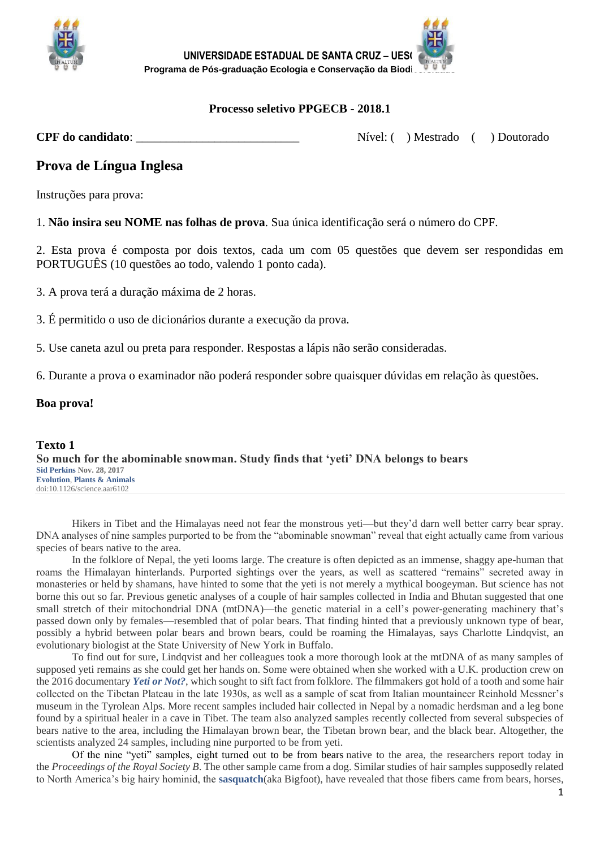



# **Processo seletivo PPGECB - 2018.1**

**CPF do candidato:**  $N$ ivel: ( ) Mestrado ( ) Doutorado

# **Prova de Língua Inglesa**

Instruções para prova:

1. **Não insira seu NOME nas folhas de prova**. Sua única identificação será o número do CPF.

2. Esta prova é composta por dois textos, cada um com 05 questões que devem ser respondidas em PORTUGUÊS (10 questões ao todo, valendo 1 ponto cada).

3. A prova terá a duração máxima de 2 horas.

3. É permitido o uso de dicionários durante a execução da prova.

5. Use caneta azul ou preta para responder. Respostas a lápis não serão consideradas.

6. Durante a prova o examinador não poderá responder sobre quaisquer dúvidas em relação às questões.

#### **Boa prova!**

**Texto 1 So much for the abominable snowman. Study finds that 'yeti' DNA belongs to bears [Sid Perkins](http://www-sciencemag-org.ez85.periodicos.capes.gov.br/author/sid-perkins) Nov. 28, 2017 [Evolution](http://www-sciencemag-org.ez85.periodicos.capes.gov.br/category/evolution)**, **[Plants & Animals](http://www-sciencemag-org.ez85.periodicos.capes.gov.br/category/plants-animals)** doi:10.1126/science.aar6102

Hikers in Tibet and the Himalayas need not fear the monstrous yeti—but they'd darn well better carry bear spray. DNA analyses of nine samples purported to be from the "abominable snowman" reveal that eight actually came from various species of bears native to the area.

In the folklore of Nepal, the yeti looms large. The creature is often depicted as an immense, shaggy ape-human that roams the Himalayan hinterlands. Purported sightings over the years, as well as scattered "remains" secreted away in monasteries or held by shamans, have hinted to some that the yeti is not merely a mythical boogeyman. But science has not borne this out so far. Previous genetic analyses of a couple of hair samples collected in India and Bhutan suggested that one small stretch of their mitochondrial DNA (mtDNA)—the genetic material in a cell's power-generating machinery that's passed down only by females—resembled that of polar bears. That finding hinted that a previously unknown type of bear, possibly a hybrid between polar bears and brown bears, could be roaming the Himalayas, says Charlotte Lindqvist, an evolutionary biologist at the State University of New York in Buffalo.

To find out for sure, Lindqvist and her colleagues took a more thorough look at the mtDNA of as many samples of supposed yeti remains as she could get her hands on. Some were obtained when she worked with a U.K. production crew on the 2016 documentary *[Yeti or Not?](http://iconfilms.co.uk/productions/recent-productions/yeti/yeti-or-not.html)*, which sought to sift fact from folklore. The filmmakers got hold of a tooth and some hair collected on the Tibetan Plateau in the late 1930s, as well as a sample of scat from Italian mountaineer Reinhold Messner's museum in the Tyrolean Alps. More recent samples included hair collected in Nepal by a nomadic herdsman and a leg bone found by a spiritual healer in a cave in Tibet. The team also analyzed samples recently collected from several subspecies of bears native to the area, including the Himalayan brown bear, the Tibetan brown bear, and the black bear. Altogether, the scientists analyzed 24 samples, including nine purported to be from yeti.

[Of the nine "yeti" samples, eight turned out to be from bears](http://rspb.royalsocietypublishing.org/lookup/doi/10.1098/rspb.2017.1804) native to the area, the researchers report today in the *Proceedings of the Royal Society B*. The other sample came from a dog. Similar studies of hair samples supposedly related to North America's big hairy hominid, the **[sasquatch](http://www-sciencemag-org.ez85.periodicos.capes.gov.br/news/2014/07/bigfoot-samples-analyzed-lab)**(aka Bigfoot), have revealed that those fibers came from bears, horses,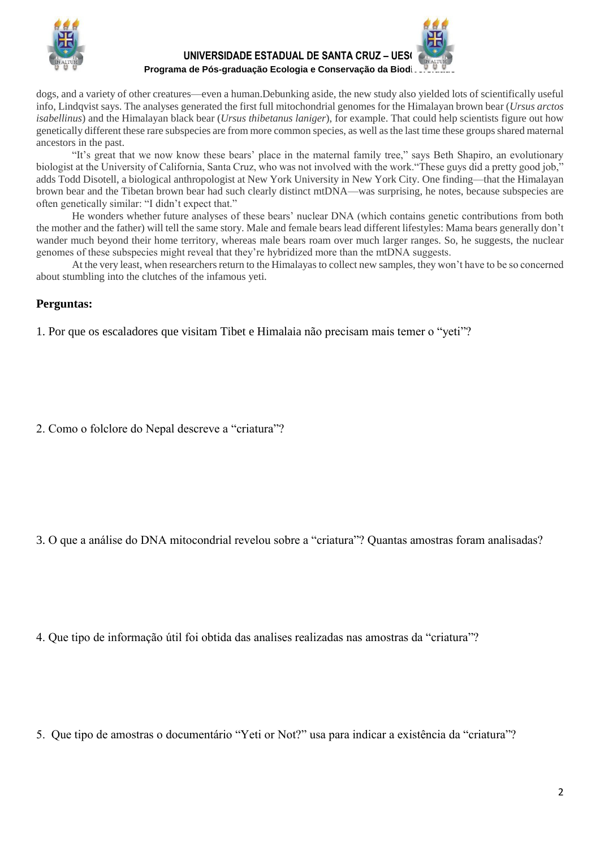

**UNIVERSIDADE ESTADUAL DE SANTA CRUZ – UESC**

Programa de Pós-graduação Ecologia e Conservação da Biodi.

dogs, and a variety of other creatures—even a human.Debunking aside, the new study also yielded lots of scientifically useful info, Lindqvist says. The analyses generated the first full mitochondrial genomes for the Himalayan brown bear (*Ursus arctos isabellinus*) and the Himalayan black bear (*Ursus thibetanus laniger*), for example. That could help scientists figure out how genetically different these rare subspecies are from more common species, as well as the last time these groups shared maternal ancestors in the past.

"It's great that we now know these bears' place in the maternal family tree," says Beth Shapiro, an evolutionary biologist at the University of California, Santa Cruz, who was not involved with the work."These guys did a pretty good job," adds Todd Disotell, a biological anthropologist at New York University in New York City. One finding—that the Himalayan brown bear and the Tibetan brown bear had such clearly distinct mtDNA—was surprising, he notes, because subspecies are often genetically similar: "I didn't expect that."

He wonders whether future analyses of these bears' nuclear DNA (which contains genetic contributions from both the mother and the father) will tell the same story. Male and female bears lead different lifestyles: Mama bears generally don't wander much beyond their home territory, whereas male bears roam over much larger ranges. So, he suggests, the nuclear genomes of these subspecies might reveal that they're hybridized more than the mtDNA suggests.

At the very least, when researchers return to the Himalayas to collect new samples, they won't have to be so concerned about stumbling into the clutches of the infamous yeti.

# **Perguntas:**

1. Por que os escaladores que visitam Tibet e Himalaia não precisam mais temer o "yeti"?

2. Como o folclore do Nepal descreve a "criatura"?

3. O que a análise do DNA mitocondrial revelou sobre a "criatura"? Quantas amostras foram analisadas?

4. Que tipo de informação útil foi obtida das analises realizadas nas amostras da "criatura"?

5. Que tipo de amostras o documentário "Yeti or Not?" usa para indicar a existência da "criatura"?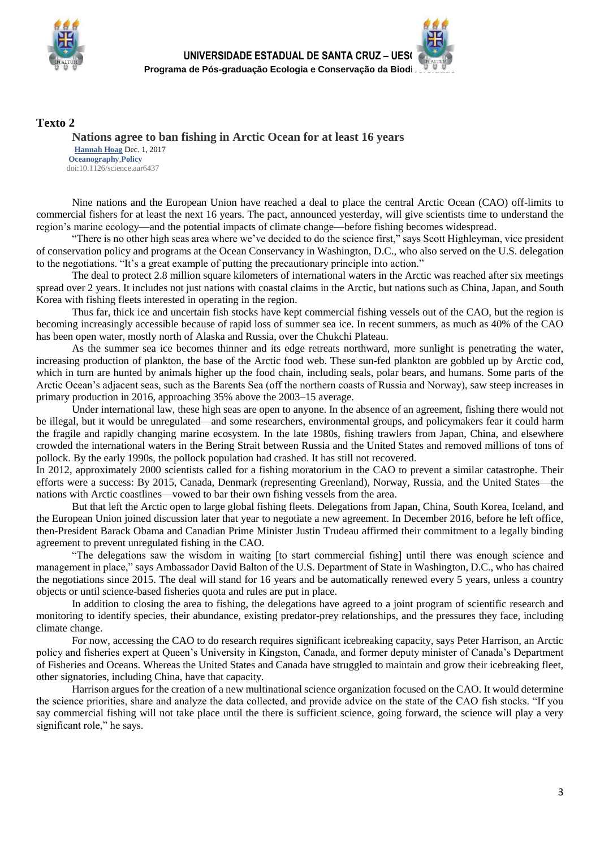

### **Texto 2**

**Nations agree to ban fishing in Arctic Ocean for at least 16 years [Hannah Hoag](http://www-sciencemag-org.ez85.periodicos.capes.gov.br/author/hannah-hoag)** Dec. 1, 2017 **[Oceanography](http://www-sciencemag-org.ez85.periodicos.capes.gov.br/category/oceanography)**,**[Policy](http://www-sciencemag-org.ez85.periodicos.capes.gov.br/category/policy)** doi:10.1126/science.aar6437

Nine nations and the European Union have reached a deal to place the central Arctic Ocean (CAO) off-limits to commercial fishers for at least the next 16 years. The pact, announced yesterday, will give scientists time to understand the region's marine ecology—and the potential impacts of climate change—before fishing becomes widespread.

"There is no other high seas area where we've decided to do the science first," says Scott Highleyman, vice president of conservation policy and programs at the Ocean Conservancy in Washington, D.C., who also served on the U.S. delegation to the negotiations. "It's a great example of putting the precautionary principle into action."

The deal to protect 2.8 million square kilometers of international waters in the Arctic was reached after six meetings spread over 2 years. It includes not just nations with coastal claims in the Arctic, but nations such as China, Japan, and South Korea with fishing fleets interested in operating in the region.

Thus far, thick ice and uncertain fish stocks have kept commercial fishing vessels out of the CAO, but the region is becoming increasingly accessible because of rapid loss of summer sea ice. In recent summers, as much as 40% of the CAO has been open water, mostly north of Alaska and Russia, over the Chukchi Plateau.

As the summer sea ice becomes thinner and its edge retreats northward, more sunlight is penetrating the water, increasing production of plankton, the base of the Arctic food web. These sun-fed plankton are gobbled up by Arctic cod, which in turn are hunted by animals higher up the food chain, including seals, polar bears, and humans. Some parts of the Arctic Ocean's adjacent seas, such as the Barents Sea (off the northern coasts of Russia and Norway), saw steep increases in primary production in 2016, approaching 35% above the 2003–15 average.

Under international law, these high seas are open to anyone. In the absence of an agreement, fishing there would not be illegal, but it would be unregulated—and some researchers, environmental groups, and policymakers fear it could harm the fragile and rapidly changing marine ecosystem. In the late 1980s, fishing trawlers from Japan, China, and elsewhere crowded the international waters in the Bering Strait between Russia and the United States and removed millions of tons of pollock. By the early 1990s, the pollock population had crashed. It has still not recovered.

In 2012, approximately 2000 scientists called for a fishing moratorium in the CAO to prevent a similar catastrophe. Their efforts were a success: By 2015, Canada, Denmark (representing Greenland), Norway, Russia, and the United States—the nations with Arctic coastlines—vowed to bar their own fishing vessels from the area.

But that left the Arctic open to large global fishing fleets. Delegations from Japan, China, South Korea, Iceland, and the European Union joined discussion later that year to negotiate a new agreement. In December 2016, before he left office, then-President Barack Obama and Canadian Prime Minister Justin Trudeau affirmed their commitment to a legally binding agreement to prevent unregulated fishing in the CAO.

"The delegations saw the wisdom in waiting [to start commercial fishing] until there was enough science and management in place," says Ambassador David Balton of the U.S. Department of State in Washington, D.C., who has chaired the negotiations since 2015. The deal will stand for 16 years and be automatically renewed every 5 years, unless a country objects or until science-based fisheries quota and rules are put in place.

In addition to closing the area to fishing, the delegations have agreed to a joint program of scientific research and monitoring to identify species, their abundance, existing predator-prey relationships, and the pressures they face, including climate change.

For now, accessing the CAO to do research requires significant icebreaking capacity, says Peter Harrison, an Arctic policy and fisheries expert at Queen's University in Kingston, Canada, and former deputy minister of Canada's Department of Fisheries and Oceans. Whereas the United States and Canada have struggled to maintain and grow their icebreaking fleet, other signatories, including China, have that capacity.

Harrison argues for the creation of a new multinational science organization focused on the CAO. It would determine the science priorities, share and analyze the data collected, and provide advice on the state of the CAO fish stocks. "If you say commercial fishing will not take place until the there is sufficient science, going forward, the science will play a very significant role," he says.